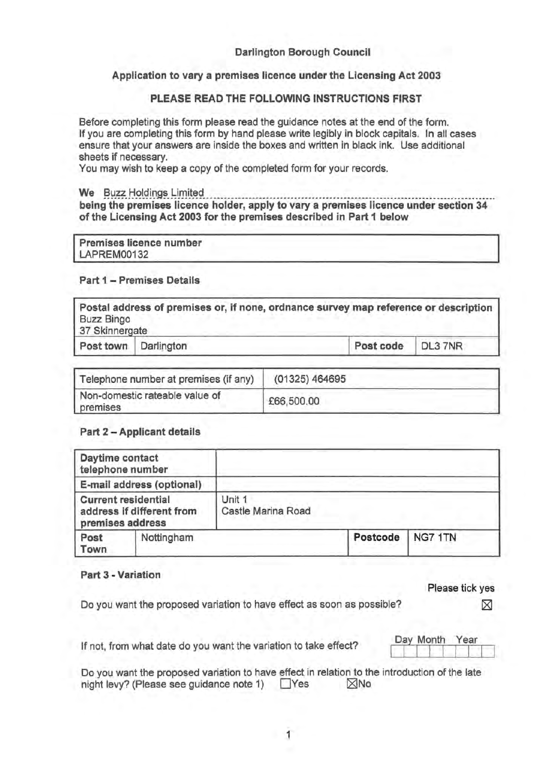### **Darlington Borough Council**

### **Application to vary a premises licence under the Licensing Act 2003**

### **PLEASE READ THE FOLLOWING INSTRUCTIONS FIRST**

Before completing this form please read the guidance notes at the end of the form. If you are completing this form by hand please write legibly in block capitals. In all cases ensure that your answers are inside the boxes and written in black ink. Use additional sheets if necessary.

You may wish to keep a copy of the completed form for your records.

#### We Buzz Holdings Limited

**being the premises licence holder, apply to vary a premises licence under section 34 of the Licensing Act 2003 for the premises described in Part 1 below** 

| Premises licence number<br>LAPREM00132 |  |
|----------------------------------------|--|
|                                        |  |

### **Part 1** - **Premises Details**

| <b>Buzz Bingo</b><br>37 Skinnergate | Postal address of premises or, if none, ordnance survey map reference or description |           |         |
|-------------------------------------|--------------------------------------------------------------------------------------|-----------|---------|
| Post town   Darlington              |                                                                                      | Post code | DL3 7NR |

| Telephone number at premises (if any)      | (01325) 464695 |
|--------------------------------------------|----------------|
| Non-domestic rateable value of<br>premises | £66,500.00     |

### **Part 2** - **Applicant details**

| Daytime contact            | telephone number                                                            |                              |          |         |
|----------------------------|-----------------------------------------------------------------------------|------------------------------|----------|---------|
|                            | E-mail address (optional)                                                   |                              |          |         |
|                            | <b>Current residential</b><br>address if different from<br>premises address | Unit 1<br>Castle Marina Road |          |         |
| Nottingham<br>Post<br>Town |                                                                             |                              | Postcode | NG7 1TN |

### **Part 3** - **Variation**

Do you want the proposed variation to have effect as soon as possible?  $\boxtimes$ 

| Please tick yes |  |  |
|-----------------|--|--|
|-----------------|--|--|

If not, from what date do you want the variation to take effect? Day Month

Do you want the proposed variation to have effect in relation to the introduction of the late night levy? (Please see guidance note 1)  $\Box$  Yes  $\boxtimes$  No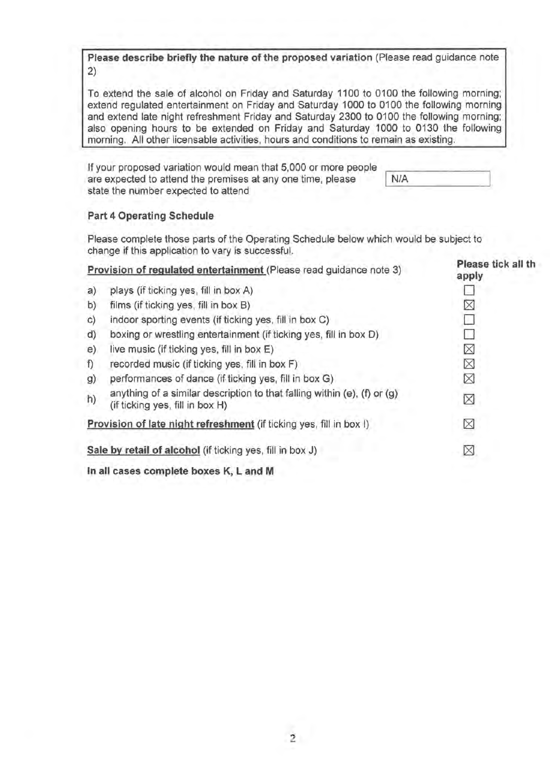**Please describe briefly the nature of the proposed variation** (Please read guidance note 2)

To extend the sale of alcohol on Friday and Saturday 1100 to 0100 the following morning; extend regulated entertainment on Friday and Saturday 1000 to 0100 the following morning and extend late night refreshment Friday and Saturday 2300 to 0100 the following morning; also opening hours to be extended on Friday and Saturday 1000 to 0130 the following morning. All other licensable activities, hours and conditions to remain as existing.

If your proposed variation would mean that 5,000 or more people are expected to attend the premises at any one time, please state the number expected to attend

| N/A |  |  |
|-----|--|--|
|-----|--|--|

### **Part 4 Operating Schedule**

Please complete those parts of the Operating Schedule below which would be subject to change if this application to vary is successful.

|    | Provision of regulated entertainment (Please read guidance note 3)                                          | Please tick all th<br>apply |
|----|-------------------------------------------------------------------------------------------------------------|-----------------------------|
| a) | plays (if ticking yes, fill in box A)                                                                       |                             |
| b) | films (if ticking yes, fill in box B)                                                                       | X                           |
| C) | indoor sporting events (if ticking yes, fill in box C)                                                      |                             |
| d) | boxing or wrestling entertainment (if ticking yes, fill in box D)                                           |                             |
| e) | live music (if ticking yes, fill in box E)                                                                  | ⊠                           |
| f) | recorded music (if ticking yes, fill in box F)                                                              | ⊠                           |
| g) | performances of dance (if ticking yes, fill in box G)                                                       | x                           |
| h) | anything of a similar description to that falling within (e), (f) or (g)<br>(if ticking yes, fill in box H) | ⊠                           |
|    | Provision of late night refreshment (if ticking yes, fill in box I)                                         | ⊠                           |
|    | Sale by retail of alcohol (if ticking yes, fill in box J)                                                   | ⊠                           |
|    | In all cases complete boxes K, L and M                                                                      |                             |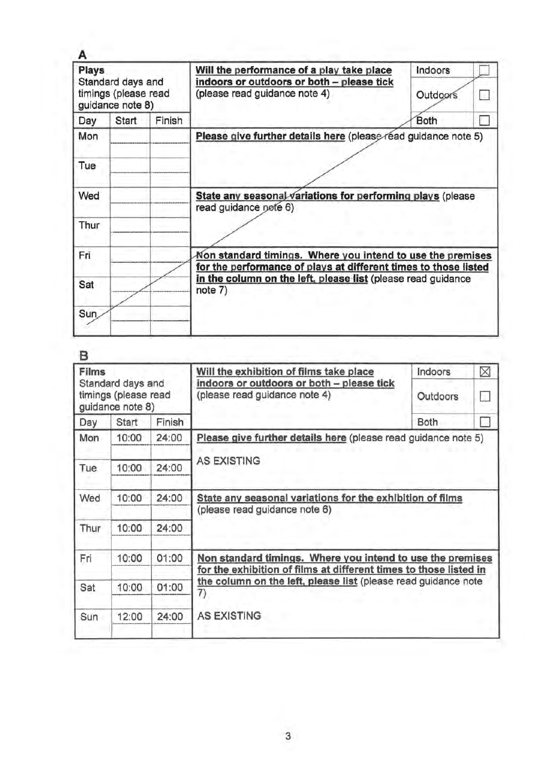| Plays<br>Standard days and               |              |        | Will the performance of a play take place<br>indoors or outdoors or both - please tick                                        | Indoors  |  |
|------------------------------------------|--------------|--------|-------------------------------------------------------------------------------------------------------------------------------|----------|--|
| timings (please read<br>guidance note 8) |              |        | (please read guidance note 4)                                                                                                 | Outdoors |  |
| Day                                      | <b>Start</b> | Finish |                                                                                                                               | Both     |  |
| Mon                                      |              |        | Please give further details here (please read guidance note 5)                                                                |          |  |
| Tue                                      |              |        |                                                                                                                               |          |  |
| Wed                                      |              |        | State any seasonal variations for performing plays (please<br>read guidance note 6)                                           |          |  |
|                                          |              |        |                                                                                                                               |          |  |
| Thur                                     |              |        |                                                                                                                               |          |  |
| Fri                                      |              |        | Non standard timings. Where you intend to use the premises<br>for the performance of plays at different times to those listed |          |  |
| Sat                                      |              |        | in the column on the left, please list (please read guidance<br>note 7)                                                       |          |  |

### **B**

| Films<br>Standard days and<br>timings (please read<br>guidance note 8) |                        |       | Will the exhibition of films take place                                                                                                   | Indoors  | ⊠ |
|------------------------------------------------------------------------|------------------------|-------|-------------------------------------------------------------------------------------------------------------------------------------------|----------|---|
|                                                                        |                        |       | indoors or outdoors or both - please tick<br>(please read guidance note 4)                                                                | Outdoors |   |
| Day                                                                    | <b>Start</b><br>Finish |       |                                                                                                                                           | Both     |   |
| Mon                                                                    | 10:00                  | 24:00 | Please give further details here (please read guidance note 5)                                                                            |          |   |
| Tue                                                                    | 10:00                  | 24:00 | <b>AS EXISTING</b>                                                                                                                        |          |   |
| Wed                                                                    | 10:00                  | 24:00 | State any seasonal variations for the exhibition of films<br>(please read guidance note 6)                                                |          |   |
| Thur                                                                   | 10:00                  | 24:00 |                                                                                                                                           |          |   |
| Fri                                                                    | 10:00                  | 01:00 | Non standard timings. Where you intend to use the premises                                                                                |          |   |
| Sat                                                                    | 10:00                  | 01:00 | for the exhibition of films at different times to those listed in<br>the column on the left, please list (please read guidance note<br>7) |          |   |
| Sun                                                                    | 12:00                  | 24:00 | <b>AS EXISTING</b>                                                                                                                        |          |   |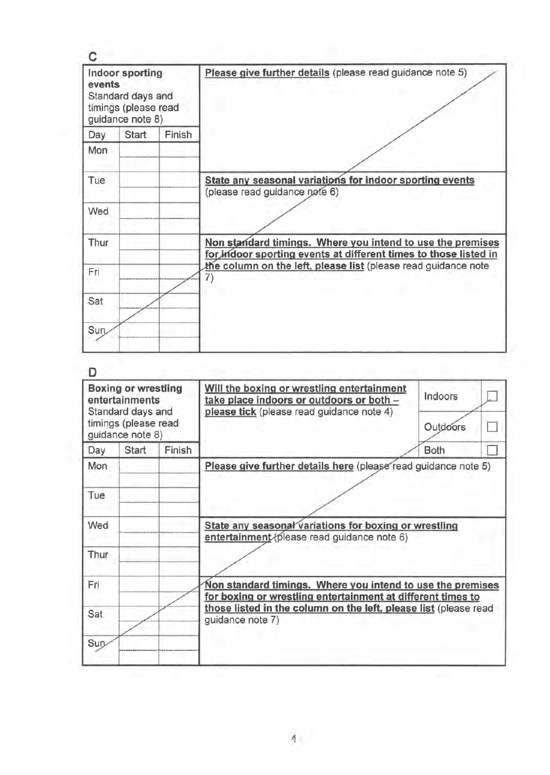| Indoor sporting<br>events<br>Standard days and<br>timings (please read<br>guidance note 8) |       |        | Please give further details (please read guidance note 5)                                                                      |  |
|--------------------------------------------------------------------------------------------|-------|--------|--------------------------------------------------------------------------------------------------------------------------------|--|
| Day                                                                                        | Start | Finish |                                                                                                                                |  |
| Mon                                                                                        |       |        |                                                                                                                                |  |
| Tue                                                                                        |       |        | State any seasonal variations for indoor sporting events<br>(please read guidance note 6)                                      |  |
| Wed                                                                                        |       |        |                                                                                                                                |  |
| Thur                                                                                       |       |        | Non standard timings. Where you intend to use the premises<br>for indoor sporting events at different times to those listed in |  |
| Fri                                                                                        |       |        | the column on the left, please list (please read guidance note<br>7)                                                           |  |
| Sat                                                                                        |       |        |                                                                                                                                |  |
| Sun                                                                                        |       |        |                                                                                                                                |  |

| <b>Boxing or wrestling</b><br>entertainments<br>Standard days and<br>timings (please read<br>guidance note 8) |       |        | Will the boxing or wrestling entertainment<br>take place indoors or outdoors or both -<br>please tick (please read guidance note 4) | Indoors  |  |
|---------------------------------------------------------------------------------------------------------------|-------|--------|-------------------------------------------------------------------------------------------------------------------------------------|----------|--|
|                                                                                                               |       |        |                                                                                                                                     | Outdoors |  |
| Day                                                                                                           | Start | Finish |                                                                                                                                     | Both     |  |
| Mon                                                                                                           |       |        | Please give further details here (please read guidance note 5)                                                                      |          |  |
| Tue<br>Wed                                                                                                    |       |        | State any seasonal variations for boxing or wrestling<br>entertainment (please read guidance note 6)                                |          |  |
| Thur                                                                                                          |       |        |                                                                                                                                     |          |  |
| Fri                                                                                                           |       |        | Non standard timings. Where you intend to use the premises<br>for boxing or wrestling entertainment at different times to           |          |  |
| Sat                                                                                                           |       |        | those listed in the column on the left, please list (please read<br>guidance note 7)                                                |          |  |
|                                                                                                               |       |        |                                                                                                                                     |          |  |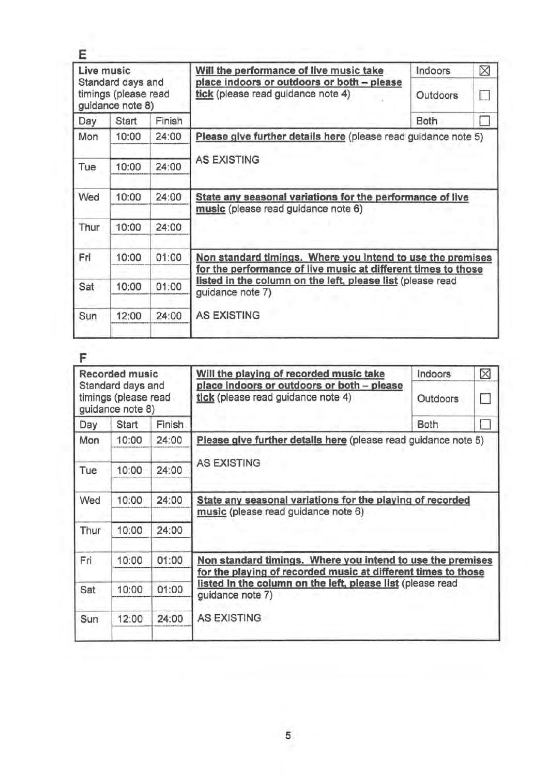| Live music<br>Standard days and<br>timings (please read<br>guidance note 8) |       |        | Will the performance of live music take                                                                                                         | Indoors  | ⊠  |  |
|-----------------------------------------------------------------------------|-------|--------|-------------------------------------------------------------------------------------------------------------------------------------------------|----------|----|--|
|                                                                             |       |        | place indoors or outdoors or both - please<br>tick (please read guidance note 4)                                                                | Outdoors | r. |  |
| Day                                                                         | Start | Finish |                                                                                                                                                 | Both     |    |  |
| Mon                                                                         | 10:00 | 24:00  | Please give further details here (please read guidance note 5)                                                                                  |          |    |  |
| Tue                                                                         | 10:00 | 24:00  | <b>AS EXISTING</b>                                                                                                                              |          |    |  |
| Wed                                                                         | 10:00 | 24:00  | State any seasonal variations for the performance of live<br>music (please read guidance note 6)                                                |          |    |  |
| Thur                                                                        | 10:00 | 24:00  |                                                                                                                                                 |          |    |  |
| Fri                                                                         | 10:00 | 01:00  | Non standard timings. Where you intend to use the premises                                                                                      |          |    |  |
| Sat                                                                         | 10:00 | 01:00  | for the performance of live music at different times to those<br>listed in the column on the left, please list (please read<br>guidance note 7) |          |    |  |
| Sun                                                                         | 12:00 | 24:00  | <b>AS EXISTING</b>                                                                                                                              |          |    |  |

# **F**

|      | <b>Recorded music</b>                                         |        | Will the playing of recorded music take                                                                                                         | Indoors                                                        | ⊠ |  |
|------|---------------------------------------------------------------|--------|-------------------------------------------------------------------------------------------------------------------------------------------------|----------------------------------------------------------------|---|--|
|      | Standard days and<br>timings (please read<br>guidance note 8) |        | place indoors or outdoors or both - please<br>tick (please read guidance note 4)                                                                | Outdoors                                                       |   |  |
| Day  | Start                                                         | Finish |                                                                                                                                                 | Both                                                           |   |  |
| Mon  | 10:00                                                         | 24:00  |                                                                                                                                                 | Please give further details here (please read guidance note 5) |   |  |
| Tue  | 10:00                                                         | 24:00  | <b>AS EXISTING</b>                                                                                                                              |                                                                |   |  |
| Wed  | 10:00                                                         | 24:00  | State any seasonal variations for the playing of recorded<br>music (please read guidance note 6)                                                |                                                                |   |  |
| Thur | 10:00                                                         | 24:00  |                                                                                                                                                 |                                                                |   |  |
| Fri  | 10:00                                                         | 01:00  | Non standard timings. Where you intend to use the premises                                                                                      |                                                                |   |  |
| Sat  | 10:00                                                         | 01:00  | for the playing of recorded music at different times to those<br>listed in the column on the left, please list (please read<br>guidance note 7) |                                                                |   |  |
|      |                                                               |        |                                                                                                                                                 |                                                                |   |  |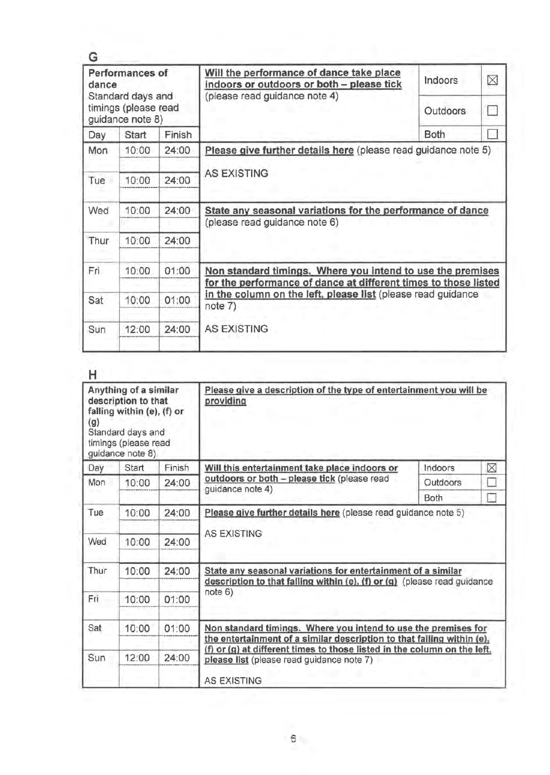| <b>Performances of</b><br>dance<br>Standard days and<br>timings (please read<br>guidance note 8) |                       |        | Will the performance of dance take place<br>indoors or outdoors or both - please tick                                                                                                                    | Indoors  | ⊠ |
|--------------------------------------------------------------------------------------------------|-----------------------|--------|----------------------------------------------------------------------------------------------------------------------------------------------------------------------------------------------------------|----------|---|
|                                                                                                  |                       |        | (please read guidance note 4)                                                                                                                                                                            | Outdoors |   |
| Day                                                                                              | Start                 | Finish |                                                                                                                                                                                                          | Both     |   |
| Mon                                                                                              | 10:00                 | 24:00  | Please give further details here (please read guidance note 5)                                                                                                                                           |          |   |
| Tue                                                                                              | 10:00                 | 24:00  | <b>AS EXISTING</b>                                                                                                                                                                                       |          |   |
| Wed                                                                                              | 10:00                 | 24:00  | State any seasonal variations for the performance of dance<br>(please read guidance note 6)                                                                                                              |          |   |
| Thur                                                                                             | 10:00                 | 24:00  |                                                                                                                                                                                                          |          |   |
| Fri                                                                                              | 10:00                 | 01:00  | Non standard timings. Where you intend to use the premises<br>for the performance of dance at different times to those listed<br>in the column on the left, please list (please read guidance<br>note 7) |          |   |
| Sat                                                                                              | 10:00                 | 01:00  |                                                                                                                                                                                                          |          |   |
|                                                                                                  | 24:00<br>Sun<br>12:00 |        |                                                                                                                                                                                                          |          |   |

## **H**

| Anything of a similar<br>description to that<br>falling within (e), (f) or<br>(g)<br>Standard days and<br>timings (please read<br>guidance note 8) |                |                | Please give a description of the type of entertainment you will be<br>providing                                                          |             |   |
|----------------------------------------------------------------------------------------------------------------------------------------------------|----------------|----------------|------------------------------------------------------------------------------------------------------------------------------------------|-------------|---|
| Day                                                                                                                                                | Start          | Finish         | Will this entertainment take place indoors or                                                                                            | Indoors     | ⊠ |
| Mon                                                                                                                                                | 10:00          | 24:00          | outdoors or both - please tick (please read<br>guidance note 4)                                                                          | Outdoors    |   |
|                                                                                                                                                    |                |                |                                                                                                                                          | <b>Both</b> | n |
| Tue<br>Wed                                                                                                                                         | 10:00<br>10:00 | 24:00<br>24:00 | Please give further details here (please read guidance note 5)<br><b>AS EXISTING</b>                                                     |             |   |
| Thur                                                                                                                                               | 10:00          | 24:00          | State any seasonal variations for entertainment of a similar<br>description to that falling within (e), (f) or (g) (please read guidance |             |   |
| Fri                                                                                                                                                | 10:00          | 01:00          | note 6)                                                                                                                                  |             |   |
| Sat                                                                                                                                                | 10:00          | 01:00          | Non standard timings. Where you intend to use the premises for<br>the entertainment of a similar description to that falling within (e), |             |   |
| Sun                                                                                                                                                | 12:00          | 24:00          | (f) or (g) at different times to those listed in the column on the left,<br>please list (please read guidance note 7)                    |             |   |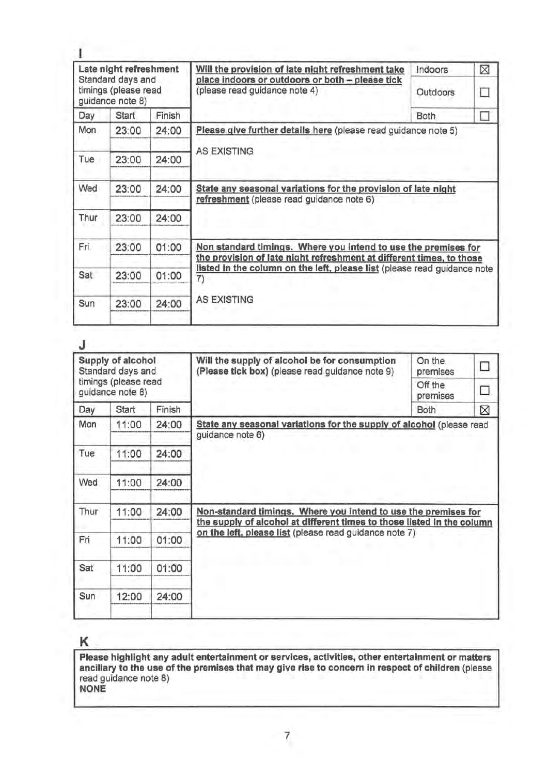| Late night refreshment<br>Standard days and<br>timings (please read |                           |        | Will the provision of late night refreshment take<br>place indoors or outdoors or both - please tick<br>(please read guidance note 4) | Indoors<br>Outdoors                                                                                                                              | ⊠ |  |  |
|---------------------------------------------------------------------|---------------------------|--------|---------------------------------------------------------------------------------------------------------------------------------------|--------------------------------------------------------------------------------------------------------------------------------------------------|---|--|--|
| Day                                                                 | guidance note 8)<br>Start | Finish |                                                                                                                                       | <b>Both</b>                                                                                                                                      |   |  |  |
| <b>Mon</b>                                                          | 23:00                     | 24:00  | Please give further details here (please read guidance note 5)                                                                        |                                                                                                                                                  |   |  |  |
| Tue                                                                 | 23:00                     | 24:00  | <b>AS EXISTING</b>                                                                                                                    |                                                                                                                                                  |   |  |  |
| Wed                                                                 | 23:00                     | 24:00  | State any seasonal variations for the provision of late night<br>refreshment (please read guidance note 6)                            |                                                                                                                                                  |   |  |  |
| Thur                                                                | 23:00                     | 24:00  |                                                                                                                                       |                                                                                                                                                  |   |  |  |
| Fri                                                                 | 23:00                     | 01:00  | Non standard timings. Where you intend to use the premises for                                                                        |                                                                                                                                                  |   |  |  |
| Sat                                                                 | 23:00                     | 01:00  | 7)                                                                                                                                    | the provision of late night refreshment at different times, to those<br>listed in the column on the left, please list (please read guidance note |   |  |  |
| Sun                                                                 | 23:00                     | 24:00  | <b>AS EXISTING</b>                                                                                                                    |                                                                                                                                                  |   |  |  |

| Supply of alcohol<br>Standard days and<br>timings (please read<br>guidance note 8) |       |        | Will the supply of alcohol be for consumption<br>On the<br>(Please tick box) (please read guidance note 9)<br>premises                   |                     |    |  |
|------------------------------------------------------------------------------------|-------|--------|------------------------------------------------------------------------------------------------------------------------------------------|---------------------|----|--|
|                                                                                    |       |        |                                                                                                                                          | Off the<br>premises | p. |  |
| Day                                                                                | Start | Finish |                                                                                                                                          | <b>Both</b>         | ⊠  |  |
| <b>Mon</b>                                                                         | 11:00 | 24:00  | State any seasonal variations for the supply of alcohol (please read<br>guidance note 6)                                                 |                     |    |  |
| Tue                                                                                | 11:00 | 24:00  |                                                                                                                                          |                     |    |  |
| Wed                                                                                | 11:00 | 24:00  | Non-standard timings. Where you intend to use the premises for<br>the supply of alcohol at different times to those listed in the column |                     |    |  |
| Thur                                                                               | 11:00 | 24:00  |                                                                                                                                          |                     |    |  |
| Fri                                                                                | 11:00 | 01:00  | on the left, please list (please read guidance note 7)                                                                                   |                     |    |  |
| Sat                                                                                | 11:00 | 01:00  |                                                                                                                                          |                     |    |  |
|                                                                                    |       |        |                                                                                                                                          |                     |    |  |

### **K**

**Please highlight any adult entertainment or services, activities, other entertainment or matters ancillary to the use of the premises that may give rise to concern** in **respect of children** {please read guidance note 8) **NONE**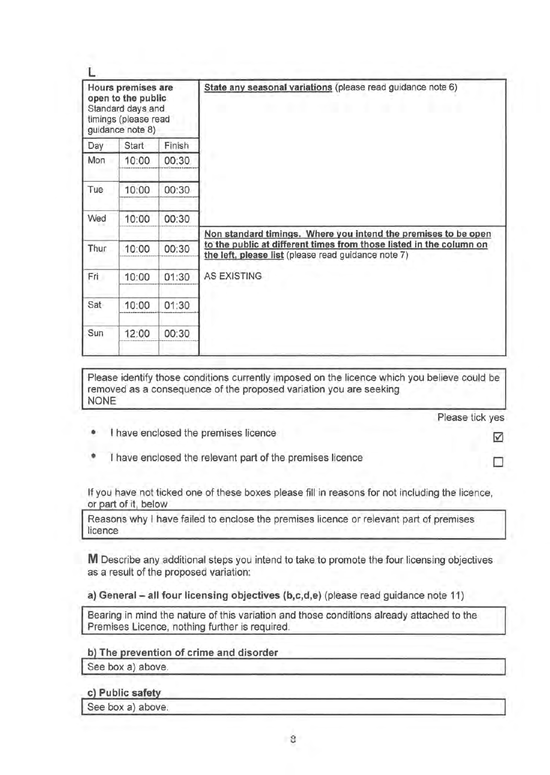| Hours premises are<br>open to the public<br>Standard days and<br>timings (please read<br>guidance note 8) |       |        | State any seasonal variations (please read guidance note 6)                                                                                                                                  |
|-----------------------------------------------------------------------------------------------------------|-------|--------|----------------------------------------------------------------------------------------------------------------------------------------------------------------------------------------------|
| Day                                                                                                       | Start | Finish |                                                                                                                                                                                              |
| Mon                                                                                                       | 10:00 | 00:30  |                                                                                                                                                                                              |
| Tue                                                                                                       | 10:00 | 00:30  |                                                                                                                                                                                              |
| Wed                                                                                                       | 10:00 | 00:30  |                                                                                                                                                                                              |
| Thur                                                                                                      | 10:00 | 00:30  | Non standard timings. Where you intend the premises to be open<br>to the public at different times from those listed in the column on<br>the left, please list (please read guidance note 7) |
| Fri                                                                                                       | 10:00 | 01:30  | <b>AS EXISTING</b>                                                                                                                                                                           |
| Sat                                                                                                       | 10:00 | 01:30  |                                                                                                                                                                                              |
| Sun                                                                                                       | 12:00 | 00:30  |                                                                                                                                                                                              |

Please identify those conditions currently imposed on the licence which you believe could be removed as a consequence of the proposed variation you are seeking NONE

Please tick yes

☑

п

- I have enclosed the premises licence
- I have enclosed the relevant part of the premises licence

If you have not ticked one of these boxes please fill in reasons for not including the licence, or part of it, below

Reasons why I have failed to enclose the premises licence or relevant part of premises licence

**M** Describe any additional steps you intend to take to promote the four licensing objectives as a result of the proposed variation:

**a) General** - **all four licensing objectives (b,c,d,e)** (please read guidance note 11)

Bearing in mind the nature of this variation and those conditions already attached to the Premises Licence, nothing further is required.

### **b)** The prevention of crime and disorder

See box a) above.

# **c) Public safety**<br>See box a) above.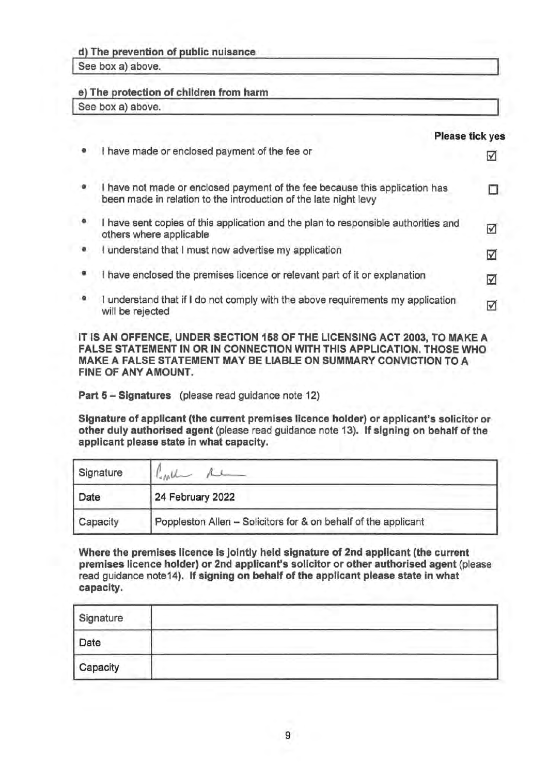### **d The revention of ublic nuisance**

See box a) above.

### **e)** The protection of children from harm

See box a) above.

|                                                                                                                                                 | Please tick yes |
|-------------------------------------------------------------------------------------------------------------------------------------------------|-----------------|
| I have made or enclosed payment of the fee or                                                                                                   | ✓               |
| I have not made or enclosed payment of the fee because this application has<br>been made in relation to the introduction of the late night levy |                 |
| I have sent copies of this application and the plan to responsible authorities and<br>others where applicable                                   | ☑               |
| I understand that I must now advertise my application                                                                                           | ☑               |
| I have enclosed the premises licence or relevant part of it or explanation                                                                      | ☑               |
| I understand that if I do not comply with the above requirements my application<br>will be rejected                                             | ☑               |
|                                                                                                                                                 |                 |

**IT IS AN OFFENCE, UNDER SECTION 158 OF THE LICENSING ACT 2003, TO MAKE A FALSE STATEMENT IN OR IN CONNECTION WITH THIS APPLICATION. THOSE WHO MAKE A FALSE STATEMENT MAY BE LIABLE ON SUMMARY CONVICTION TO A**  FINE OF ANY AMOUNT.

Part 5 - Signatures (please read guidance note 12)

**Signature of applicant (the current premises licence holder) or applicant's solicitor or other duly authorised agent** (please read guidance note 13). **If signing on behalf of the applicant please state** in **what capacity.** 

| Signature |                                                                |  |
|-----------|----------------------------------------------------------------|--|
| Date      | 24 February 2022                                               |  |
| Capacity  | Poppleston Allen - Solicitors for & on behalf of the applicant |  |

**Where the premises licence is jointly held signature of 2nd applicant (the current premises licence holder) or 2nd applicant's solicitor or other authorised agent** (please read guidance note14). **If signing on behalf of the applicant please state in what capacity.** 

| Signature |                                                    |
|-----------|----------------------------------------------------|
| Date      | __<br>the control of the con-<br><b>CONTRACTOR</b> |
| Capacity  | <b>CONTRACTOR</b>                                  |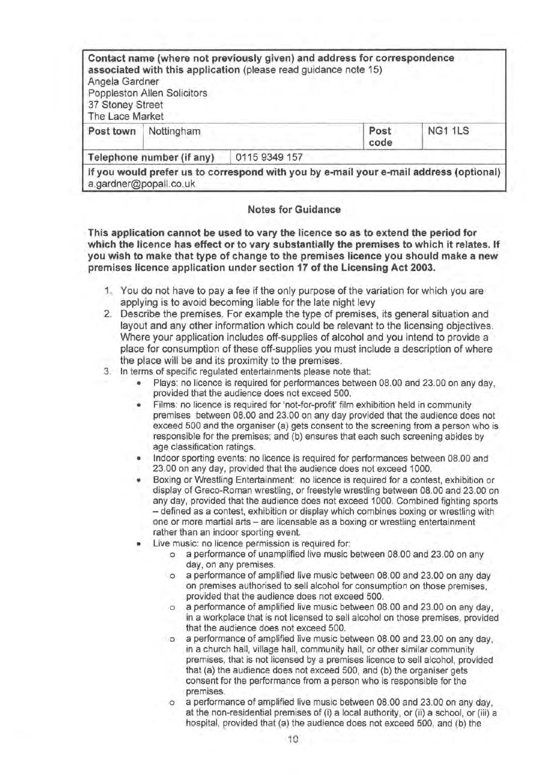| Angela Gardner<br>37 Stoney Street<br>The Lace Market | Poppleston Allen Solicitors | Contact name (where not previously given) and address for correspondence<br>associated with this application (please read guidance note 15) |  |  |
|-------------------------------------------------------|-----------------------------|---------------------------------------------------------------------------------------------------------------------------------------------|--|--|
| Post town                                             | Nottingham                  | NG11LS<br>Post<br>code                                                                                                                      |  |  |
|                                                       | Telephone number (if any)   | 0115 9349 157                                                                                                                               |  |  |
|                                                       | a.gardner@popall.co.uk      | If you would prefer us to correspond with you by e-mail your e-mail address (optional)                                                      |  |  |

### **Notes for Guidance**

**This application cannot be used to vary the licence so as to extend the period for which the licence has effect or to vary substantially the premises to which it relates. If you wish to make that type of change to the premises licence you should make a new premises licence application under section 17 of the Licensing Act 2003.** 

- 1. You do not have to pay a fee if the only purpose of the variation for which you are applying is to avoid becoming liable for the late night levy
- 2. Describe the premises. For example the type of premises, its general situation and layout and any other information which could be relevant to the licensing objectives. Where your application includes off-supplies of alcohol and you intend to provide a place for consumption of these off-supplies you must include a description of where the place will be and its proximity to the premises.
- 3. In terms of specific regulated entertainments please note that:
	- Plays: no licence is required for performances between 08.00 and 23.00 on any day, provided that the audience does not exceed 500.
	- Films: no licence is required for 'not-for-profit' film exhibition held in community premises between 08.00 and 23.00 on any day provided that the audience does not exceed 500 and the organiser (a) gets consent to the screening from a person who is responsible for the premises; and (b) ensures that each such screening abides by age classification ratings.
	- Indoor sporting events: no licence is required for performances between 08.00 and 23.00 on any day, provided that the audience does not exceed 1000.
	- Boxing or Wrestling Entertainment: no licence is required for a contest, exhibition or display of Greco-Roman wrestling, or freestyle wrestling between 08.00 and 23.00 on any day, provided that the audience does not exceed 1000. Combined fighting sports - defined as a contest, exhibition or display which combines boxing or wrestling with one or more martial arts - are licensable as a boxing or wrestling entertainment rather than an indoor sporting event.
	- Live music: no licence permission is required for:
		- o a performance of unamplified live music between 08.00 and 23.00 on any day, on any premises.
		- a performance of amplified live music between 08.00 and 23.00 on any day on premises authorised to sell alcohol for consumption on those premises, provided that the audience does not exceed 500.
		- o a performance of amplified live music between 08.00 and 23.00 on any day, in a workplace that is not licensed to sell alcohol on those premises, provided that the audience does not exceed 500.
		- o a performance of amplified live music between 08.00 and 23.00 on any day, in a church hall, village hall, community hall, or other similar community premises, that is not licensed by a premises licence to sell alcohol, provided that (a) the audience does not exceed 500, and (b) the organiser gets consent for the performance from a person who is responsible for the premises.
		- o a performance of amplified live music between 08.00 and 23.00 on any day, at the non-residential premises of (i) a local authority, or (ii) a school, or (iii) a hospital, provided that (a) the audience does not exceed 500, and (b) the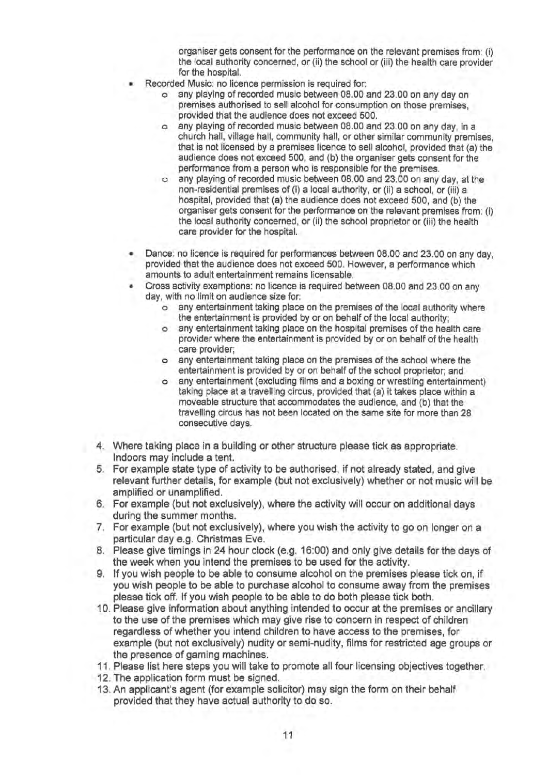organiser gets consent for the performance on the relevant premises from: (i) the local authority concerned, or (ii) the school or (iii) the health care provider for the hospital.

- Recorded Music: no licence permission is required for:
	- o any playing of recorded music between 08.00 and 23.00 on any day on premises authorised to sell alcohol for consumption on those premises, provided that the audience does not exceed 500.
	- o any playing of recorded music between 08.00 and 23.00 on any day, in a church hall, village hall, community hall, or other similar community premises, that is not licensed by a premises licence to sell alcohol, provided that (a) the audience does not exceed 500, and (b) the organiser gets consent for the performance from a person who is responsible for the premises.
	- o any playing of recorded music between 08.00 and 23.00 on any day, at the non-residential premises of (i) a local authority, or (ii) a school, or (iii) a hospital, provided that (a) the audience does not exceed 500, and (b) the organiser gets consent for the performance on the relevant premises from: (i) the local authority concerned, or (ii) the school proprietor or (iii) the health care provider for the hospital.
- Dance: no licence is required for performances between 08.00 and 23.00 on any day, provided that the audience does not exceed 500. However, a performance which amounts to adult entertainment remains licensable.
- Cross activity exemptions: no licence is required between 08.00 and 23.00 on any day, with no limit on audience **size** for:
	- o any entertainment taking place on the premises of the local authority where the entertainment is provided by or on behalf of the local authority;
	- o any entertainment taking place on the hospital premises of the health care provider where the entertainment is provided by or on behalf of the health care provider;
	- o any entertainment taking place on the premises of the school where the entertainment is provided by or on behalf of the school proprietor; and
	- o any entertainment (excluding films and a boxing or wrestling entertainment) taking place at a travelling circus, provided that (a) it takes place within a moveable structure that accommodates the audience, and (b) that the travelling circus has not been located on the same site for more than 28 consecutive days.
- 4. Where taking place in a building or other structure please tick as appropriate. Indoors may include a tent.
- 5. For example state type of activity to be authorised, if not already stated, and give relevant further details, for example (but not exclusively) whether or not music will be amplified or unamplified.
- 6. For example (but not exclusively), where the activity will occur on additional days during the summer months.
- 7. For example (but not exclusively), where you wish the activity to go on longer on a particular day e.g. Christmas Eve.
- 8. Please give timings in 24 hour clock (e.g. 16:00) and only give details for the days of the week when you intend the premises to be used for the activity.
- 9. If you wish people to be able to consume alcohol on the premises please tick on, if you wish people to be able to purchase alcohol to consume away from the premises please tick off. If you wish people to be able to do both please tick both.
- 10. Please give information about anything intended to occur at the premises or ancillary to the use of the premises which may give rise to concern in respect of children regardless of whether you intend children to have access to the premises, for example (but not exclusively) nudity or semi-nudity, films for restricted age groups or the presence of gaming machines.
- 11. Please list here steps you will take to promote all four licensing objectives together.
- 12. The application form must be signed.
- 13. An applicant's agent (for example solicitor) may sign the form on their behalf provided that they have actual authority to do so.